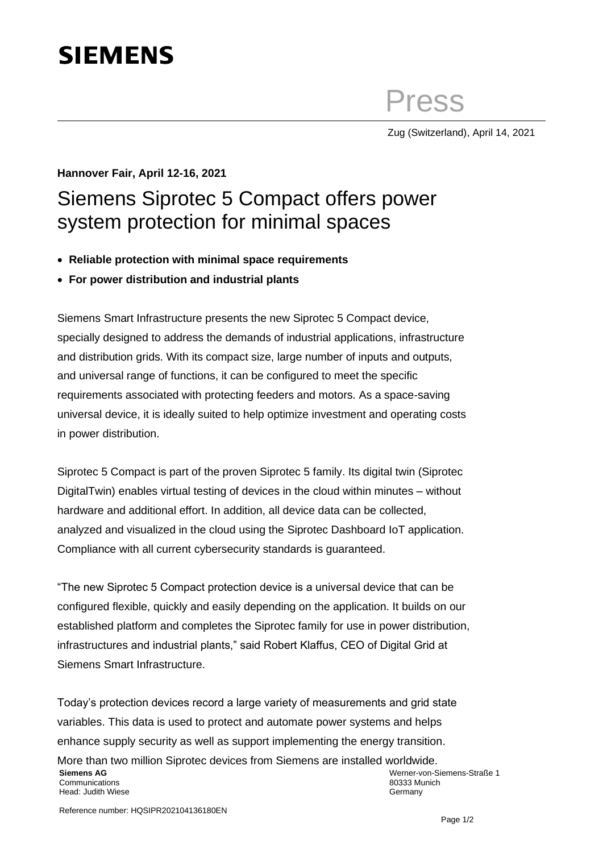## **SIEMENS**

Press

Zug (Switzerland), April 14, 2021

## **Hannover Fair, April 12-16, 2021** Siemens Siprotec 5 Compact offers power system protection for minimal spaces

- **Reliable protection with minimal space requirements**
- **For power distribution and industrial plants**

Siemens Smart Infrastructure presents the new Siprotec 5 Compact device, specially designed to address the demands of industrial applications, infrastructure and distribution grids. With its compact size, large number of inputs and outputs, and universal range of functions, it can be configured to meet the specific requirements associated with protecting feeders and motors. As a space-saving universal device, it is ideally suited to help optimize investment and operating costs in power distribution.

Siprotec 5 Compact is part of the proven Siprotec 5 family. Its digital twin (Siprotec DigitalTwin) enables virtual testing of devices in the cloud within minutes – without hardware and additional effort. In addition, all device data can be collected, analyzed and visualized in the cloud using the Siprotec Dashboard IoT application. Compliance with all current cybersecurity standards is guaranteed.

"The new Siprotec 5 Compact protection device is a universal device that can be configured flexible, quickly and easily depending on the application. It builds on our established platform and completes the Siprotec family for use in power distribution, infrastructures and industrial plants," said Robert Klaffus, CEO of Digital Grid at Siemens Smart Infrastructure.

Today's protection devices record a large variety of measurements and grid state variables. This data is used to protect and automate power systems and helps enhance supply security as well as support implementing the energy transition. More than two million Siprotec devices from Siemens are installed worldwide. **Siemens AG** Communications Head: Judith Wiese Werner-von-Siemens-Straße 1 80333 Munich Germany

Reference number: HQSIPR202104136180EN